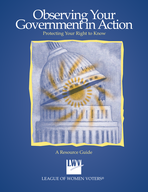# Observing Your GovernmentinAction

### Protecting Your Right to Know



A Resource Guide

**IMVIL** LEAGUE OF WOMEN VOTERS®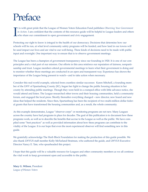## Preface

I t is with great pride that the League of Women Voters Education Fund publishes *Observing Your Government in Action.* I am confident that the contents of this resource guide will be helpful to League leaders and others who share our commitment to open government and civic engagement.

Protecting our right to know is integral to the health of our democracy. Decisions that determine how our schools will be run, at what level community safety programs will be funded, and how land in our towns will be used impact our lives and are vital to our well-being. These kinds of decisions need to be made with public input and oversight. One important way to ensure that is to observe government meetings.

The League has been a champion of government transparency since our founding in 1920. It is one of our core principles and a vital part of our mission. Our efforts in this area reinforce our reputation of fairness, nonpartisanship and trust. League members attend governmental meetings to learn what their government is doing and to monitor whether those meetings are conducted in an open and transparent way. Experience has shown the importance of the League being present to watch—and to take action when necessary.

Consider this real-world example, selected from countless similar successes: Karen Mitchell, a founding member of the LWV of Spartanburg County (SC), began her fight to change the public housing situation in her county by attending public meetings. Though they were held in a cramped office with little advance notice, she would attend and listen. The League researched other towns and their housing communities, held a community forum, and engaged the local press. Shortly thereafter everything changed – new director, new board and new ideas that helped the residents. Since then, Spartanburg has been the recipient of two multi-million dollar federal grants that have transformed the housing communities and, as a result, the whole community.

As this example demonstrates, League "observer corps" or monitoring programs are not new. Many Leagues across the country have had programs in place for decades. The goal of this publication is to document how these programs work, as well as to describe the benefits that accrue to the League as well as the public. We have compiled some "best practices" as well as provided information about how these programs can contribute to the vitality of the League. It is our hope that even the most experienced observer will find something new in this guide.

We gratefully acknowledge The Herb Block Foundation for making the production of this guide possible. We also thank LWVUS staff member Kelly McFarland Stratman, who authored the guide, and LWVUS Executive Director Nancy E. Tate, who spearheaded this project.

I hope that this guide will be a valuable resource for Leagues and other community members as we all continue the vital work to keep government open and accessible to the public.

**Mary G. Wilson**, President *League of Women Voters*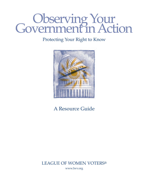# Observing Your Government in Action

### Protecting Your Right to Know



### A Resource Guide

LEAGUE OF WOMEN VOTERS® www.lwv.org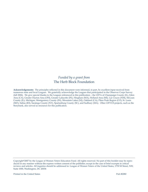#### *Funded by a grant from* The Herb Block Foundation

**Acknowledgements:** The principles reflected in this document were informed, in part, by excellent input received from numerous state and local Leagues. We gratefully acknowledge the Leagues that participated in the Observer Corps Survey (fall 2006). We give special thanks to the Leagues referenced in this publication – the LWVs of Champaign County (IL), Eden Area (CA), Greater Dayton Area (OH), Greater Lafayette (IN), Hingham (MA), Holland Area (MI), Las Cruces (NM), McLean County (IL), Michigan, Montgomery County (IN), Mountain Lakes (NJ), Oakland (CA), Pikes Peak Region (CO), St. Louis (MO), Salina (KS), Saratoga County (NY), Spartanburg County (SC), and Sudbury (MA). Other LWVUS projects, such as the Storybank, also served as resources for this publication.

Copyright©2007 by the League of Women Voters Education Fund. All rights reserved. No part of this booklet may be reproduced in any manner without the express written consent of the publisher, except in the case of brief excerpts in critical reviews and articles. All inquiries should be addressed to: League of Women Voters of the United States, 1730 M Street, NW, Suite 1000, Washington, DC 20036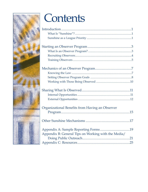

# Contents

| Organizational Benefits from Having an Observer |  |  |
|-------------------------------------------------|--|--|
| $D_{\nu\alpha\alpha\nu\alpha}$                  |  |  |

|--|--|

| Appendix B: General Tips on Working with the Media/ |  |
|-----------------------------------------------------|--|
|                                                     |  |
|                                                     |  |
|                                                     |  |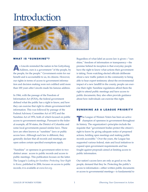### **Introduction**



#### WHAT IS "SUNSHINE"?

A<sup>s</sup> Lincoln reminded the nation in his Gettysburg Address, ours is a government "of the people, by the people, for the people." Government exists for our benefit and is accountable to us, its citizens. However, our rights in terms of access to government information and decision making were not codified until more than 100 years after Lincoln made his famous address.

In 1966, with the passage of the Freedom of Information Act (FOIA), the federal government defined what the public has a right to know, and how they can exercise that right to obtain government-held information. This was followed by passage of the Federal Advisory Committee Act of 1972 and the Sunshine Act of 1976, both of which focused on public access to government meetings. Pursuant to the federal example, all 50 states, the District of Columbia and some local governments passed similar laws. These laws are often known as "sunshine" laws or public access laws. Although each law is different, they generally declare that all records and meetings are open unless certain specified exemptions apply.

"Sunshine" or openness in government refers to two distinct areas: access to public records and access to public meetings. This publication focuses on the latter. The League's *Looking for Sunshine: Protecting Your Right to Know*, published in 2006, focuses on access to public records; it is available at *www.lwv.org*.

Regardless of what label an access law is given—"sunshine," freedom of information or transparency—the premise behind its inception is that everyday people have the right to know what actions their government is taking. From watching elected officials deliberate about a new traffic pattern in the community to being able to hear expert testimony about the environmental impact of a new landfill in the county, people can exercise their right. Sunshine regulations afford them the right to attend public meetings and have access to public documents; they also often provide guidance about how individuals can exercise this right.

#### SUNSHINE AS A LEAGUE PRIORITY

The League of Women Voters has been an active champion of openness in government throughout its history. The organization's principles include the requisite that "government bodies protect the citizen's right to know by giving adequate notice of proposed actions, holding open meetings and making public records accessible." Over the years, the League has supported various federal, state and local initiatives to expand open government requirements and has fought against proposals aimed at limiting access to public information.

Our nation's access laws are only as good as we, the people, demand that they be. Protecting the public's access to information—either written public documents or access to governmental meetings—is fundamental to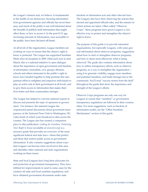the League's mission and, we believe, is fundamental to the health of our democracy. Securing information from government agencies and officials has never been easy, and much of the public is not well informed about the breadth of publicly held information that might affect them, or how to access it. In the post-9/11 age, increasing amounts of information, once accessible to the public, have been declared off-limits.

At all levels of the organization, League members are working on ways to ensure that the citizen's right to know is protected. The League has supported Sunshine Week since its inception in 2005. Held each year in mid-March, this is a national initiative to open dialogue about the importance of open government and freedom of information. Journalists, civic groups, libraries, schools and others interested in the public's right to know have banded together to help promote this nonpartisan effort to enlighten and empower individuals to play an active role in their government at all levels, and to give them access to information that makes their lives better and their communities stronger.

The League has helped to convene national experts to discuss and promote the topic of openness in government. For instance, the national League has cosponsored panel discussions about goverment transparency at the National Press Club in Washington, DC, video feeds of which were broadcast to sites across the country. The League also has created a companion piece to this publication. *Looking for Sunshine: Protecting Your Right to Know* (available at *www.lwv.org*) is a resource guide that provides an overview of the most significant federal and state laws—those that protect and those that restrict public access to government information. It also contains suggestions about ways that Leagues can become more involved in this area, and identifies other national and state organizations working on these issues.

State and local Leagues have long been advocates for and protectors of government transparency. They have lobbied for improvements to (and in some cases for the creation of) state and local sunshine regulations, and have obtained government documents under state

freedom of information acts and other relevant laws. The Leagues also have been observing the actions that elected and appointed officials take, and the manner in which actions are taken. Often called "Observer Corps," these programs have given Leagues a very effective way to protect and strengthen the citizen's right to know.

The purpose of this guide is to provide interested organizations, but especially Leagues, with some general information about observer programs, suggestions about how to start or strengthen observer programs, and how to share more effectively what is being observed. The guide also contains information about how to utilize transparency efforts, such as observer programs, as a way to strengthen the organization - using it to generate visibility, engage more members and potential members, and build stronger ties to the community. You'll read "success stories from the field" throughout the guide that show the importance and strength of the League's efforts.

Observer Corps programs are only one way for Leagues to ensure that "sunshine" or government transparency regulations are followed in their communities. For more suggestions, such as freedom of information audits, see the "Other Sunshine Mechanisms" section of this guide.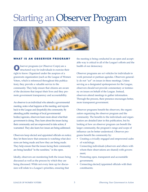## Starting anObserver Program



#### WHAT IS AN OBSERVER PROGRAM?

bserver programs (or Observer Corps) are a structured way for individuals to exercise their right to know. Organized under the auspices of a grassroots organization (such as the League of Women Voters, which is referenced throughout this publication), they provide a valuable service to the community. They help ensure that citizens are aware of the decisions that impact their lives and they promote government transparency and accountability.

An observer is an individual who attends a governmental meeting, notes what happens at the meeting, and reports back to the League and (hopefully) the community. By attending public meetings of local governmental bodies/agencies, observers learn more about what their government is doing. They learn about the issues facing their community and are empowered to take action, if warranted. They also learn *how* issues are being addressed.

Observers keep elected and appointed officials on notice; they let them know that someone is watching what decisions are being made and how they are being made. They help ensure that the issues facing their community are being handled "in the sunshine," in the open.

Ideally, observers are monitoring both the issues being discussed as well as the process by which they are being discussed. While not every item up for discussion will relate to a League's priorities, ensuring that

the meeting is being conducted in an open and acceptable way is critical to all of the League's efforts and the health of our democracy.

Observer programs are *not* vehicles for individuals to work personal or partisan agendas. Observers generally do not "act" on issues in these meetings. Unless serving as a designated spokesperson for the League, observers should not provide commentary or testimony on issues on behalf of the League. Instead, observers attend meetings to gather information. Through the process, their presence encourages better, more transparent government.

Observer programs benefit the observers, the organization organizing the observer program and the community. The benefits to the individuals and organization are detailed later in this publication, but by looking at how an observer program can benefit the larger community, the program's range and scope of influence can be better understood. Observer programs benefit the community by:

- Creating a civically engaged and empowered cadre of watchdogs;
- Connecting individuals (observers and others with whom their observations are shared) with government;
- Promoting open, transparent and accountable government;
- Connecting elected/appointed officials with their constituents;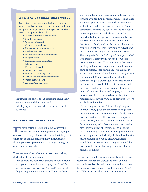#### **Who are Leagues Observing?**

A recent survey of Leagues with observer programs showed that League observers are attending and monitoring a wide range of offices and agencies (with both elected and appointed officials):

- Airport authority/Aviation board
- Board of elections
- City/Town Council
- County commissioners
- Department of human services
- Health department
- Historic preservation commission
- Hospital board
- Human relations committee
- Library board
- Park district board
- School committee
- Solid waste/Sanitary board
- Visitors and convention commission
- Water district/board
- Zoning/Planning board
- Educating the public about issues impacting their communities and their lives; and
- Identifying areas where action or improvement is needed.

#### RECRUITING OBSERVERS

The most critical piece to building a successful observer program is having a dedicated group of observers. Finding volunteers to commit to this type of effort can be challenging, but many Leagues have thriving observer programs—some longstanding and others newly established.

There are several key elements to keep in mind as you start to build your program:

• Just as there are numerous benefits to your League and your community, *observer programs benefit the observers, too.* Observers are "in touch" with what is happening in their communities. They are able to

learn about issues and processes from League mentors and by attending governmental meetings. They are given opportunities to network at meetings with officials and other concerned citizens. Some observers are eventually asked to serve on a board or feel empowered to seek elected office. Most importantly, they are providing a community service. They are acting as "watchdog" on behalf of their friends, family and neighbors, and helping to ensure the vitality of their community. Advertising these benefits can help to recruit new observers.

- *This is a specific (and limited) request for help to individual members.* Observers do not need to work in teams or committees. Observers go to a designated meeting on their own. Reports need not be cumbersome or arduous (see sample reporting forms in Appendix A), and can be submitted to League leaders via e-mail. While it would be ideal to have every meeting of a given agency or office covered, that may not be practical. Even attending sporadically will establish a League presence. It may be more difficult to follow specific topics, but certainly processes could be monitored—especially the requirement of having minutes of previous sessions available to the public!
- *Observer programs are not "all or nothing" programs.* In other words, given the proliferation of government agencies and committees, it is unlikely that a League could observe the work of every agency or office. Instead, it is important for League leaders to focus where they will place their resources, in this case their volunteer observers. Just as a League would identify priorities for its other programmatic work, Leagues should identify the best locations for their observers and not be discouraged from establishing or maintaining a program even if the League will only be observing a handful of local agencies or offices.

Leagues have employed different methods to recruit observers. Perhaps the easiest and most obvious method is to advertise in League publications. Using the organization's monthly newsletter, e-mail "tree," and Web site are good and inexpensive ways to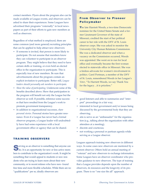contact members. Flyers about the program also can be made available at League events, and observers can be asked to share their experiences. Some Leagues have advertised their programs "externally" in local newspapers as part of their efforts to gain new members as well as observers.

Regardless of what method is employed, there are some common (and more general) recruiting principles that can be applied to help attract new observers:

- If someone is invited, that person is more likely to participate. Do not assume that members know they can volunteer to participate in an observer program. They might believe that they need to have certain skills or training, or even hold an elected office in the organization to participate. This is especially true of new members. Be sure that advertisements about the program contain an explicit invitation to participate. Better still, *League leaders should personally ask members to participate.*
- *Show the value of participating.* Underscore some of the benefits described above. Show that participation in the program will benefit not only the League but the observer as well. If possible, reference some successes that have resulted from the League's work to promote government transparency.
- In addition to organizational successes, *share personal stories.* Personal stories have greater resonance. Even if a League has never had a formal observer program, a League leader will undoubtedly have had some experience with a local government office or agency that can be shared.

#### TRAINING OBSERVERS

Serving as an observer is something that anyone can do. It is an opportunity for new or less active members to contribute to the organization's work. It might be something that would appeal to students or new residents who are trying to learn more about their new community, or to recent retirees who have new- found free time and more flexible schedules. While there are no "qualifications" per se, ideally observers are:

#### **From Observer to Pioneer** Policymaker

The late Harriett Woods, a two-time Democratic nominee for the United States Senate and a former Lieutenant Governor of the state of Missouri, credited the start of her political career to her role with the LWV of St. Louis observer corps. She was asked to monitor the University City Human Relations Commission. She was a dedicated observer and when a vacancy on the Commission occurred, Woods was appointed. She went on to run for local office and eventually became the first woman elected to statewide office in Missouri. She was a tireless advocate for women's involvement in politics. Carol Portman, a member of the LWV of St. Louis, remembered Woods in her League's *Voter*, "To Harriett Woods, we say Thank You for the legacy…it is priceless."

- good listeners and able to summarize and "interpret" proceedings in a fair way;
- interested in local government and/or issues being discussed by the governmental body that they are observing;
- able to serve as an "ambassador" for the organization (e.g., talking about the organization with other attendees at a meeting);
- discrete and courteous;
- not working a personal or partisan agenda while serving as a League observer.

Leagues approach training new observers in different ways. In some cases new observers are mentored by a current observer. Others hold an annual meeting of "veteran" and new observers to exchange information. Some Leagues have an observer coordinator who provides guidance to new observers. The type of training that a League provides depends upon the number of observers, its resources and the longevity of its program. There is no "one size fits all" approach.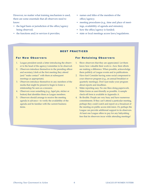However, no matter what training mechanism is used, there are some essentials that all observers need to know:

- the legal basis or jurisdiction of the office/agency being observed;
- the functions and/or services it provides;
- names and titles of the members of the office/agency;
- meeting procedures (e.g., time and place of meetings, availability of agenda and minutes);
- how the office/agency is funded;
- state or local meetings access laws/regulations.

#### BEST PRACTICES

#### For New Observers

- 1. League president sends a letter introducing the observer to the head of the agency/committee to be observed.
- 2. Observers introduce themselves to the presiding officer and secretary/clerk at the first meeting they attend (and "make contact" with them at subsequent meetings as appropriate).
- 3. Observers introduce themselves to any members of the media that might be present to begin to foster a relationship/be seen as a resource.
- 4. Observers wear something (e.g., lapel pin, sticker or button) that identifies them as League members.
- 5. Observers should arrange to receive the meeting agenda in advance—to verify the availability of the agenda and be familiar with the current business items.

#### **For Retaining Observers**

- 1. Show observers that they are appreciated. Let them know how valuable their work is—how their efforts are making a difference. When possible, acknowledge them publicly at League events and in publications.
- 2. Have fun! Consider having some social component to your observer program (e.g., an annual breakfast or quarterly meetings). Don't just make your program about reports and deadlines.
- 3. Make reporting easy. No one likes doing paperwork. Make forms as user-friendly as possible. A sample check-off form is available in Appendix A.
- 4. Be flexible. People are very busy and have numerous commitments. If they can't attend a particular meeting, perhaps they could watch and report on a broadcast of the meeting on public access television. Or, perhaps the League can provide additional support to its observers. At least one League offers to pay for any babysitting fees that its observers incur while attending meetings!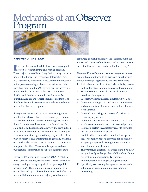### Mechanics of an Observer Program



#### KNOWING THE LAW

It is critical to understand the laws that govern process before establishing an observer program. t is critical to understand the laws that govern public Three major pieces of federal legislation codify the public's right to know. The Freedom of Information Act (FOIA) formally established a presumption that records in the possession of agencies and departments of the executive branch of the U.S. government are accessible to the people. The Federal Advisory Committee Act (FACA) and the Government in the Sunshine Act (Sunshine Act) are the federal open meeting laws. The Sunshine Act and its state-level equivalents are the most relevant to observer programs.

State governments, and in some cases local government entities, have followed the federal government and established their own open meeting acts/regulations. In most cases these mirror the federal law. But, state and local Leagues should review the laws in their respective jurisdictions to understand the specific provisions or rules that apply to the agency or office they plan to observe. This information is generally available on state legislative Web sites or through the state attorney general's office. Many state Leagues also have publications/information about state sunshine laws.

Passed in 1976, the Sunshine Act (5 U.S.C. § 552(b)), with some exceptions, provides that "every portion of every meeting of an agency shall be open to public observation." The statute defines an "agency" as an entity "headed by a collegial body composed of two or more individual members, a majority of whom are

appointed to such position by the President with the advice and consent of the Senate, and any subdivision thereof authorized to act on behalf of the agency."

There are 10 specific exemptions for categories of information that do not need to be disclosed or deliberated in open meetings. Agencies do not disclose matters—

- 1. Authorized under Executive Order to be kept secret in the interests of national defense or foreign policy
- 2. Related solely to internal personnel rules and practices of an agency
- 3. Specifically exempted from disclosure by statute
- 4. Involving privileged or confidential trade secrets and commercial or financial information obtained from a person
- 5. Involved in accusing any person of a crime or censuring any person
- 6. Involving personal information whose disclosure would constitute an invasion of personal privacy
- 7. Related to certain investigatory records compiled for law enforcement purposes
- 8. Contained in, or related to, examination, operating, or condition reports prepared for or used by an agency responsible for regulation or supervision of financial institutions
- 9. The premature disclosure of which would be likely to significantly endanger the stability of any financial institution or significantly frustrate implementation of a proposed agency action
- 10. Specifically concerning the agency's issuance of a subpoena or participation in a civil action or proceeding.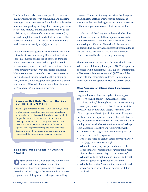The Sunshine Act also prescribes specific procedures that agencies must follow in announcing and changing meetings, closing meetings, and withholding substantive information regarding meetings. It delineates procedures for keeping minutes and making them available to the public. And, it outlines enforcement mechanisms (i.e., action through the federal courts) that members of the public can employ. The full text of the Sunshine Act is available at *www.usdoj.gov/oip/gisastat.pdf*.

As with almost all legislation, the Sunshine Act is not without critics or controversy. Some believe that the "collegial" nature of agencies or offices is damaged when discussions are recorded and public; people become more guarded in what is said or done. There is some ambiguity about what constitutes a meeting. Newer communication methods such as conference calls and e-mail further exacerbate this ambiguity. And, of course, how exceptions are applied is a perennial concern. All of which underscore the critical need for "watchdogs" like citizen observers.

#### Leagues Not Only Monitor the Law **But Help to Create It**

The League of Women Voters of Oakland (CA), having crafted and advocated for the passage of a local sunshine ordinance in 1997, is still working to ensure that the public has access to governmental records and meetings. Education and training are always prime means to ensure that regulations are enforced and upheld. The League is marking the local ordinance's 10th anniversary by doing its own education and outreach about the importance of open government.

#### SETTING OBSERVER PROGRAM GOALS

rganizations always wish that they had more volunteers to do the hands-on work of the organization. Observer programs are no exception. According to local Leagues that currently have observer programs, one of the greatest challenges is recruiting

observers. Therefore, it is very important that Leagues establish clear goals for their observer programs to ensure that they get the biggest return on the investment of their most precious resource: their members' time.

It is also critical that Leagues understand what they want to accomplish with the program. Individuals want to see success—want to know that their efforts are making a difference. There should be common understanding about what a successful program looks like and hopes to achieve. This will help to retain observers as well as keep the program strong.

There are three main areas that Leagues should consider when establishing their goals: (1) What agencies or offices will it monitor; (2) What types of information will observers be monitoring; and (3) What will be done with the information collected? Some suggestions about how to approach each are offered below.

#### What Agencies or Offices Should the League Observe?

League volunteers observe a myriad of meetings city/town council, county commissioners, school committee, zoning/planning board, and others. As many observer programs involve less than 10 members, it is impossible for an individual League to monitor every office or agency within its jurisdiction. Instead Leagues must choose which agencies or offices they will observe; they must prioritize their efforts. One way to do this is to employ questions similar to those that are used to help focus a League's legislative or programmatic work:

- Where can the League have the most impact on what issue or office/agency?
- Is there an office or agency that is of particular concern (e.g., some local scandal)?
- What office or agency has jurisdiction over the issues that are considered the organization's areas of expertise or strength (e.g., voting systems)?
- What issues have high member interest and what office or agency has jurisdiction over them?
- What is the "hottest" issue in the community and where (through what office or agency) will it be resolved?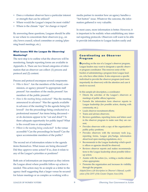- Does a volunteer observer have a particular interest or strength that can be utilized?
- Where would the League's impact be most visible?
- Where is the climate "ripe" for change or input?

By answering these questions, Leagues should be able to see where to concentrate their observers (e.g., on city/town council, school committee or zoning/planning board meetings, etc.).

#### What Issues Will the League Be Observing/ Monitoring?

The next step is to outline what the observers will be monitoring. Sample reporting forms are available in Appendix A. There are two broad categories of information that an observer can collect: (1) process and protocol and (2) content.

Process and protocol encompass several components:

- *Who is there?* Are the members of the board, commission, or agency present? Is appropriate staff present? Are members of the media present? Are members of the public present?
- *How is the meeting being conducted?* Was the meeting announced in advance? Was the agenda available in advance of the meeting? Is the agenda being followed? Are the proceedings being conducted in a professional manner? Are items being discussed or do decisions appear to be "cut and dried"? Is there adequate opportunity for public input? What is the overall tone or atmosphere?
- *Where is the meeting being conducted?* Is the venue accessible? Can the proceedings be heard? Can the space accommodate members of the public?

The second set of information relates to the agenda items themselves. What issues are being discussed? Did they approve some action? If so, does it relate to any of the League's priorities or positions?

Both sets of information are important as they inform the League about where possible follow-up action is needed. This action may be as simple as a letter to the agency itself suggesting that a larger venue be secured for future meetings or as complex as working with a

media partner to monitor how an agency handles a "hot button" issue. Whatever the outcome, the information gathered is very valuable.

In most cases, more information is better. However, it is important to be realistic when establishing any internal reporting protocols. Observers will want to be able to provide information to League leaders easily and

#### **Coordinating an Observer** Program

Depending on the size of a League's observer program, League leaders may want to designate a specific observer program coordinator. This removes some of the burden of administering a program from League leaders, who have other duties. It also empowers a specific individual to provide the observer program (and more importantly its observers) with the attention and care it needs to succeed.

In this sample job description, a coordinator:

- Directs the activities of the League's observers at meetings of public offices/agencies;
- Funnels the information from observer reports to League leadership (for possible action, sharing with community, etc.);
- Leads observer recruitment efforts;
- Trains and advises observers;
- Reviews guidelines, reporting forms and letters used in the observer program to make sure they are current;
- Provides observers with a copy of the organization's public policy positions;
- Provides observers with the necessary tools (e.g., reporting forms, League pin/badge, information about local open meeting regulations, etc.);
- Recommends to the League leadership which specific offices or agencies should be observed;
- Reviews observer reports and makes recommendations to the League leadership about possible followup action;
- Assists with the action (i.e., writing a media release) when appropriate;
- Promotes the organization and increases its visibility through the program.

*Adapted from a job description in Observer's Manual, a publication of the LWV of the Greater Dayton Area (OH).*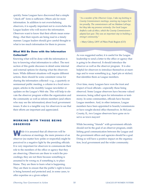quickly. Some Leagues have discovered that a simple "check-off" form is sufficient. Others ask for more information. In addition to not overwhelming observers, it is equally important not to overwhelm the League leaders who will receive the information. Observers want to know that their efforts mean something—that their reports are being read in a timely manner. League leaders should give careful thought to what is too much information for them to process.

#### What Will Be Done with the Information Collected?

Knowing what will be done with the information is key to knowing what information to collect. The next section of this guide discusses in detail some internal and external options for sharing what the observers learn. While different situations will require different actions, there should be some consistent venue for sharing the information collected—e.g., a quarterly or semiannual public meeting, a column in a local newspaper, articles in the monthly League newsletter or updates on the League's Web site. This will help to elevate the observer program within the organization and the community as well as inform members (and others who may see the information) about local government issues. It also is a tangible way for observers to see that their efforts are important and appreciated.

#### WORKING WITH THOSE BEING **OBSERVED**

While it is assumed that all observers will be<br>courteous at meetings, the mere presence of an observer (no matter how polite or respectful) might be perceived in a negative light by the presiding officials. It is very important for observers to communicate their role to the members of the office or agency that they are observing. Observers are there to watch the proceedings; they are not there because something is assumed to be wrong or, if something is, to place blame. They are there to learn what is happening. They are there to ensure that the public's right to know is being honored and protected and, in some cases, to offer expertise on a given subject.

*"As a member of the Observer Corps, I take my knitting to County Commissioners meetings, wearing my League button proudly. The commissioners call me Madame LaFarge, but they take my presence seriously. Our local League drafted a code of ethics, which the County Commissioners adopted last year. This was an important step in building a stronger community."*

—Mary Gilroy, LWV of Pikes Peak Region (CO)

As was suggested earlier, it is useful for the League leadership to send a letter to the office or agency that is going to be observed. It should introduce the observer as well as the observer program. It is also helpful for observers to introduce themselves at meetings and to wear something (e.g., lapel pin or sticker) that identifies them as League members.

Over time, many Leagues have won the trust and respect of local officials—especially those being observed. Some League observers have become valued resources, being called upon for information or testimony. In some communities, officials have become League members. And, in other instances, League members have been appointed to boards/commissions or have sought elected office themselves. In McLean County, IL, two League observers have gone on to serve as town mayors!

While becoming "friends" with government officials should not be the goal of an observer program, establishing good communication between the League and the government offices and agencies should be a goal. Doing so will have a positive impact on the organization, local government and the wider community.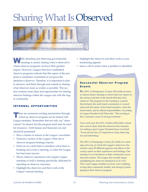## Sharing What Is Observed



While attending and observing governmental meetings is useful, sharing what is observed is where observer programs can have their greatest impact. However, Leagues that have established observer programs indicate that this aspect of the program is sometimes overlooked or not given the attention it deserves. Therefore, it is important to plan in advance, and think through and commit to sharing what observers learn as widely as possible. This section contains some ideas and opportunities for sharing observer findings within the League and with the larger community.

#### INTERNAL OPPORTUNITIES

There are numerous existing mechanisms through which an observer program can be shared with League members. Remember that not only can "observations" be shared, but the program itself (and its need for resources—both human and financial) can and should be promoted!

- Run a column or feature in the League's newsletter.
- Dedicate a section of the League's Web site to observer program findings/reports.
- Send out an e-mail blast to members when there is breaking news from a meeting, or when the League has had some success.
- Weave observer experiences into regular League meetings or hold a meeting specifically dedicated to reporting on observer outcomes.
- Highlight the observers and their work at the League's annual meeting.
- Highlight the observers and their work in your fundraising appeals.
- Issue a call to action when a problem is identified.

#### Successful Observer Program Events

The LWV of Montgomery County (IN) holds an annual catered dinner meeting at which observers report on the actions/activities of the boards that they have observed. The program for the meeting is a packet that includes (for each board, commission or council observed) the names of the board members, when the board meets, and its official responsibilities. According to League President Gail Pebworth, "This evening is like a semester course in local government."

Twice each year, the LWV of Salina (KS) holds a breakfast event to share what the observers have learned. According to past League President Kaye Crawford, "Everyone has fun. It's important to keep observing fun and interesting."

The LWV of Champaign County (IL) holds two meetings each year, at which the League's observers who monitor some 28 different agencies and offices in the county, report on their experiences and findings. One meeting is even broadcast on their community access television station. The League also recently began spotlighting the observers themselves in its *Voter*. They want League members to know who is helping to keep their community healthy and strong by participating in their observer program.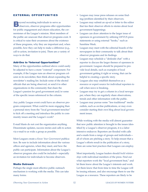#### EXTERNAL OPPORTUNITIES

**Beyond recruiting individuals to serve as**<br>sobservers, observer programs offer opportunities for public engagement and citizen education, the cornerstones of the League's mission. Most members of the public are unaware that observer programs exist. It is critical to raise their awareness about the existence of these programs, why they are important and, when possible, how they can help to make a difference (e.g., call to action, invitation to join). There are a variety of ways to do that.

#### Add-Ons to "Internal Opportunities"

Many of the opportunities outlined above could easily be adjusted to have a more "external" component. For example, if the League runs an observer program column in its newsletter, then think about expanding the newsletter's mailing list. Include some of the elected officials that are being observed, or send it to other organizations in the community that share the League's passion for good government and/or some of the specific issues referenced in the column.

Any public League event could have an observer program component. What could be more engaging than a personal story from the "local government trenches" to kick off a meeting and introduce the public to community issues and the League's work?

E-mail blasts do not cost the organization anything. Disseminate updates, success stories and calls to action via e-mail to as wide a group as possible.

Most Leagues create a *Know Your Government* publication. Be sure to include information about the various offices and agencies, when they meet, and how the public can participate. Information about the League's observer program also could be included—especially an invitation for individuals to become observers.

#### Media Outreach

Perhaps the single most effective public outreach mechanism is working with the media. This can take many forms.

- Leagues may issue press releases on some finding/problem identified by their observers.
- Leagues may submit an op-ed or letter to the editor that ties their observer efforts to stories about local government happenings.
- Leagues can draw attention to the larger issue of openness in government by utilizing LWVUS press statements or using external "hooks," such as Sunshine Week.
- Leagues may meet with the editorial boards of the newspapers in their community to talk about their observer programs and its findings.
- Leagues may schedule a "deskside chat" with a reporter to discuss the larger themes of openness in government. Leagues should be prepared to provide local details, such as examples of local government getting it right or wrong, that can be helpful to creating a specific story.
- Leagues also may establish themselves as a resource or expert source for individual reporters to call when news is breaking.
- Leagues may try to get a column in a local newspaper, where they can regularly share observations, trends and other information with the public.
- Leagues may pursue some "less traditional" media outlets, such as on-line publications, or may even consider starting their own blog about local government issues.

While working with the media will almost guarantee that new public attention is brought to the issues identified by a League's observer program, it is a labor intensive endeavor. Reporters are flooded with calls and e-mails from a range of groups and individuals all of whom are pitching a story. To help ensure that a League's efforts result in the publication of a story, there are some best practices that Leagues can employ.

Most importantly, League leaders should *build relationships* with individual members of the press. Find out what reporters work the "local government beat," and let them know about the League's interests and work. Let them know that from time to time the League will be issuing releases, and also encourage them to use the League as a resource. These reporters are likely to be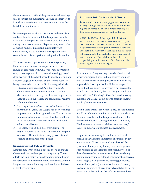the same ones who attend the governmental meetings that observers are monitoring. Encourage observers to introduce themselves to the press as a way to further build these relationships.

Because reporters receive so many news releases via email and fax, it is important that Leagues personally follow up with reporters. *Persistence* is critical to getting a story run or event covered. Reporters may need to be contacted multiple times (and in multiple ways e-mail, phone, fax) to get results. See Appendix B for a comprehensive list of tips for working with the media.

Whatever external opportunities a League pursues, there are some common messages or themes that should be combined with whatever "new information" (e.g., lapses in protocol at city council meetings, closed door decision of the school board to adopt a new policy, League's suggestion adopted by the zoning board) is being presented to the public. Such messages include:

- *1. Observer programs benefit the entire community.* Government transparency is vital to a healthy democracy. And, through its observer program, the League is helping to keep the community healthy, vibrant and strong.
- *2. The League is nonpartisan, respected and trusted.* For more than 87 years, the League has been working to protect the public's right to know. The organization is called upon by elected officials and others for its expertise in this area as well as its knowledge of local issues.
- *3. The League is an all-volunteer organization.* The organization does not have "professional" or paid observers. These efforts are truly grassroots and open to all members of the public.

#### Engagement of Public Officials

Leagues may want to make special efforts to engage elected officials on the topic of transparency. These efforts can take many forms depending upon the specific situation in a community and how successful the League has been in building relationships with those in local government.

#### **Successful Outreach Efforts**

The LWV of Mountain Lakes (NJ) sends an observer to every borough council and board of education meeting, and publishes the observer reports monthly. It is the number-one reason people join their League!

In 2005, the LWV of Michigan published its fourth *Report Card: Citizen Access to Government in Michigan*. Using a series of nine benchmarks, including "making the government's workings and decisions visible and accessible to all who wish to participate in democratic self-government," they evaluated the performance of state government. This publication has helped the League bring attention to some of the threats to citizen access to government in Michigan.

At a minimum, Leagues may consider sharing their observer program findings (both positive and negative) with the officials being observed as well as any appropriate "oversight" office. If there are specific issues that have arisen (e.g., venue is not accessible, agenda not distributed), then the League could try to meet with the "offending" office. Besides discussing the issue, the League could offer to assist in finding and implementing a solution.

Even if there are no "problems," a face-to-face meeting is still a useful endeavor. It can be a time to underscore the commonalities in the League's work and that of the elected officials—serving the larger community. The League can also establish itself as a resource/ expert in the area of openness in government.

League members may try to employ the help of elected officials in elevating the importance of sunshine in government. Ask officials to acknowledge the need for government transparency through a symbolic gesture, such as issuing a proclamation for Sunshine Week, or through more substantive means, such as mandating training on sunshine laws for all government employees. Some Leagues even perform the training (or produce informational packets) about sunshine laws for newly elected or appointed officials themselves. It should not be assumed that they will get this information elsewhere!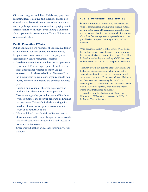Of course, Leagues can lobby officials as appropriate regarding local legislative and executive branch decisions that may be restricting access to information and meetings. Leagues may even consider engaging candidates for office on this topic by including a question about openness in government in Voters' Guides or at candidate debates.

#### Public Education Efforts

Public education is the hallmark of League. In addition to any of their "routine" public education efforts, Leagues may choose to undertake new programs depending on their observations/findings.

- Hold community forums on the topic of openness in government. Feature expert panelists such as a professor, newspaper reporter or editor, League observer, and local elected official. These could be held in partnership with other organizations to help defray any costs and expand the potential audience pool.
- Create a publication of observer experiences or findings. Distribute it as widely as possible.
- Take advantage of opportunities around Sunshine Week to promote the observer program, its findings and successes. This might include working with freedom of information groups to cosponsor an event or co-author an op-ed.
- Work with local civics/social studies teachers to draw attention to this topic. League observers could address classes. Some Leagues have had success in using student observers!
- Share this publication with other community organizations.

#### **Public Officials Take Notice**

The LWV of Saratoga County (NY) understands the value of communicating with public officials. After a meeting of the Board of Supervisors, a member of its observer corps asked the chairperson why the minutes of the Board's meetings were not posted on the county's Web site. He agreed that they should, and soon they were!

When surveyed, the LWV of Las Cruces (NM) stated that the biggest success of its observer program was that elected officials are reading the League *Voter*. How do they know that they are reading it? Officials have let them know when an observer report is inaccurate!

"Membership quickly grew to about 100 women, and the League's impact was soon felt in town, as the women fanned out to serve as observers on virtually every town committee. 'There were a lot of old-timers and they were used to running the town.' said Howard [the LWV of Sudbury's first president]. 'Here were all these new upstarts, but I think we opened eyes to areas that needed attention.'"

—Excerpted from the *Sudbury (MA) Town Crier* (February 21, 2007) on the occasion of the LWV of Sudbury's 50th anniversary.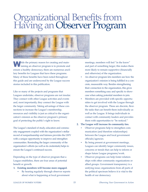### Organizational Benefits from Having anObserver Program



While the primary reason for creating and maintaining an observer program is to promote and ensure a healthy democracy, there are numerous ancillary benefits for Leagues that have these programs. Many of these benefits have been noted throughout this guide and are underscored by the League success stories included in this publication.

Like so many of the projects and programs that Leagues undertake, observer programs are not insular. They connect with other League activities and events and, most importantly, they connect the League with the larger community. Taking advantage of these connections to increase the League's membership, resources and visibility is just as critical to the organization's mission as the observer program's primary goal of protecting the public's right to know.

The League's standard of study, education and community engagement coupled with the organization's stellar record of nonpartisanship and fairness provides the LWV with a unique opportunity to improve and strengthen communities. Reminding the larger community of the organization's efforts (as well as its credentials) helps to ensure the League's continued success.

Depending on the type of observer program that a League establishes, there are four areas of potential benefit or growth.

#### **1. Existing members will become more engaged.**

• By hearing regularly through observer reports about what is happening at local government

meetings, members will feel "in the know" and part of something larger; this makes them more likely to remain supportive (financially and otherwise) of the organization.

- An observer program lets members see how the organization's mission is being fulfilled in a concrete, measurable way. Besides strengthening their connection to the organization, this gives members something easy and specific to showcase when asking potential members to join.
- Members are provided with specific opportunities to get involved with the League through the observer program. These are discrete, flexible tasks that can benefit them individually as well as the League. It brings individuals in contact with community leaders and provides them with opportunities to "be noticed."

#### **2. The League will increase its community ties.**

- Observer programs help to strengthen communication (and therefore relationships) between the League and local government officials/agencies.
- By being present at government meetings, Leagues can identify larger community issues, concerns or trends that can help to inform or shape future League programs/work.
- Observer programs can help foster relationships with other community organizations or allied groups. Government transparency is a unifying issue; organizations from all parts of the political spectrum believe it is vital to the health of our democracy.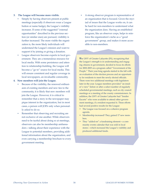#### **3. The League will become more visible.**

- Simply by having observers present at public meetings (especially if observers wear a League button or name badge), the League's visibility increases. If some of the suggested "external opportunities" described in the previous section (or similar ones) are pursued, visibility is further increased. The more visible the organization is, the more likely individuals will understand the League's mission and want to support it by joining or giving a donation.
- League observers become experts in local government. They are a tremendous resource for local media. With some persistence and attention to relationship-building, the League will become a "go to" source for local media. This will ensure consistent and regular coverage in local newspapers, an invaluable commodity.
- **4. New members will join the League.**
	- Because of the visibility, the renewed enthusiasm of existing members and new ties to the community, it is likely that new members will join the League. However, it is critical to remember that a story in the newspaper may pique interest in the organization, but in most cases, a person will JOIN only when personally asked to do so.
	- Remember that observing and recruiting are not exclusive of one another. While observers need to be tactful about doing so at meetings, observers can also be membership ambassadors—talking about their experience with the League to potential members, providing additional information about the organization, and even carrying a membership brochure to every government meeting.

• A strong observer program is representative of an organization that is focused. Given the myriad of issues that the League works on, it can be hard for non-members to understand what the organization does. Having an established program, like an observer corps, helps to reinforce the organization's niche as a "good government" group, and makes it more accessible to non-members.

The LWV of Greater Lafayette (IN), recognizing that the League's strength is in understanding and engaging citizens in government, decided to focus its efforts for 2002-2003 on a program called "Government of the People." Their year-long agenda started in the fall with an evaluation of the election process and an opportunity for residents to meet the newly elected officials. There were two additional meetings with legislators later in the year. League members provided "an insider's view" before or after a select number of regularly scheduled governmental meetings, such as city council meetings or a meeting of the county commissioners. In addition, the LWV of Greater Lafayette had "Insider Escorts" who were available to attend other government meetings, if a resident requested it. These efforts had several positive results for the League:

- The League was focused on a cohesive program agenda.
- Membership increased! They gained 17 new members.
- They "added-on" a fundraising element—a community events calendar that was sold in local stores—which increased the League's visibility and produced additional funds.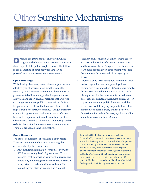## **Other Sunshine Mechanisms**



Observer programs are just one way in which<br>Leagues and other community organizations can strive to protect the public's right to know. The following is a sampling of other activities that can be pursued to promote government transparency.

#### Open Meetings

While having observers present at meetings is the most effective type of observer program, there are other means by which Leagues can monitor the activities of governmental offices and agencies. League members can watch and report on local meetings that are broadcast on government or public access stations. (In fact, Leagues can advocate for the broadcast of such meetings, if that is not already occurring.) League members can monitor government Web sites to see if information, such as agendas and minutes, are being posted. Observations from this "alternative" monitoring can be collected just as the in-person observation reports are. They, too, are valuable and informative.

#### Open Records

The other "component" of sunshine is open records. There are two main methods for monitoring the accessibility of public documents.

1. Any individual can make a *Freedom of Information (FOI) request* at any level of government. To start, research what information you want to receive and where (i.e., in what agency or office) it is located. It is important to understand how to file an FOI request in your state or locality. The National

Freedom of Information Coalition (*www.nfoic.org*) is a clearinghouse for information on state laws and how to use them. This process can be used to learn more about a given issue or simply to "test" the open records process within an agency or office.

2. Another way to learn about how freedom of information regulations are being employed in a community is to conduct an *FOI audit*. Very simply, this is a coordinated FOI request, in which multiple requestors (in the same locality or in different ones) visit pre-selected government offices, ask for copies of a particular public document and then record how well the agency responds. Journalists commonly undertake these, and the Society of Professional Journalists (*www.spj.org*) has a toolkit about how to conduct an FOI audit.

In March 2005, the League of Women Voters of Oakland (CA) released the results of a records-request audit that the League had conducted. About 70 percent of the time, League members were successful when asking for a copy of or permission to see a specific public document. However, when a group of students at Oakland's Fremont High School made some identical requests, their success rate was only about 50 percent! The League issued a media release about their findings and asked the city attorney to respond.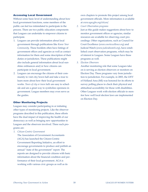#### Accessing Local Government

Without some basic level of understanding about how local government functions, some members of the public can feel too intimidated to participate in the process. There are two public education components that Leagues can undertake to empower citizens to participate.

- 1. Leagues can provide information about local government through publications like *Know Your Community*. These booklets often have listings of government offices and agencies as well as contact information for them and some description of their duties or jurisdiction. These publications might also include general information about local sunshine ordinances and/or how citizens can participate in local government.
- 2. Leagues can encourage the citizens of their community to visit city/town hall and take a tour to learn more about how their local government works. *Tours of city or town halls* are easy to schedule and are a great way to symbolize openness in government. League members may even serve as the guides.

#### Other Monitoring Projects

Leagues may consider participating in or initiating other types of monitoring projects. Like the observer programs described in this publication, these efforts have the dual impact of improving the health of our democracy as well as bringing new opportunities to Leagues and the observers involved. Three such programs are:

*1. Citizen-Centric Government*

The Association of Government Accountants (AGA) has launched the Citizen-Centric Government Reporting Initiative, an effort to encourage governments to produce and publish an annual "state of the government" report. The reports are designed to provide citizens with basic information about the financial condition and performance of their local government. AGA is working with various civic groups as well as its

own chapters to promote this project among local government officials. More information is available at *www.agacgfm.org/citizen/*.

*2. Court Observation programs*

Just as this guide makes suggestions about how to monitor government offices or agencies, similar resources are available for observing court proceedings. Other organizations, such as Council for Court Excellence (*www.courtexcellence.org*) and Judicial Watch (*www.judicialwatch.org*), have established court observation programs, which may be of interest to Leagues. Some Leagues have these programs as well.

*3. Election Observers*

Another monitoring role that some Leagues take on is serving as election observers or monitors on Election Day. These programs vary from jurisdiction to jurisdiction. For example, in 2003, the LWV of Holland Area (MI) was honored for its efforts to survey polling places to check their physical and attitudinal accessibility for those with disabilities. Other Leagues work with election officials to monitor how well local election laws are implemented on Election Day.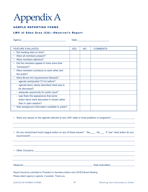## AppendixA

#### SAMPLE REPORTING FORMS

#### LWV of Eden Area (CA)-Observer's Report

| <b>Agency</b>                                          | Date:      |           |                 |
|--------------------------------------------------------|------------|-----------|-----------------|
|                                                        |            |           |                 |
| <b>FEATURE EVALUATED</b>                               | <b>YES</b> | <b>NO</b> | <b>COMMENTS</b> |
| Did meeting start on time?<br>۰                        |            |           |                 |
| Were all members present?<br>٠                         |            |           |                 |
| Were members attentive?<br>$\bullet$                   |            |           |                 |
| Did the members appear to have done their<br>$\bullet$ |            |           |                 |
| "homework?"                                            |            |           |                 |
| Were members courteous to each other and<br>٠          |            |           |                 |
| the public?                                            |            |           |                 |
| Were Brown Act requirements followed?                  |            |           |                 |
| - agenda sent/posted 72 hrs before?                    |            |           |                 |
| - agenda items clearly described what was to           |            |           |                 |
| be discussed?                                          |            |           |                 |
| - adequate opportunity for public input?               |            |           |                 |
| - was there the appearance that some                   |            |           |                 |
| action items were discussed in closed rather           |            |           |                 |
| than in open session?                                  |            |           |                 |
| Was background information available to public?<br>۰   |            |           |                 |

• Were any issues on the agenda relevant to any LWV state or local positions or programs?\_\_\_

| • Do you recommend local League action on any of these issues? Yes No Fif "yes" what action do you                                                                                                                             |                                     |
|--------------------------------------------------------------------------------------------------------------------------------------------------------------------------------------------------------------------------------|-------------------------------------|
|                                                                                                                                                                                                                                |                                     |
| • Other Concerns: 2008 - 2009 - 2009 - 2010 - 2010 - 2010 - 2010 - 2010 - 2010 - 2010 - 2010 - 2010 - 2010 - 2010 - 2010 - 2010 - 2010 - 2010 - 2010 - 2010 - 2010 - 2010 - 2010 - 2010 - 2010 - 2010 - 2010 - 2010 - 2010 - 2 |                                     |
|                                                                                                                                                                                                                                | Date Submitted: <b>Example 2014</b> |

Report should be submitted to President or Secretary before next LWVEA Board Meeting. Please attach agency's agenda, if possible. Thank you.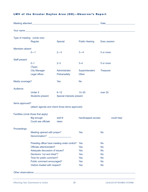#### LWV of the Greater Dayton Area (OH)-Observer's Report

|                                      |                                                | Date_                     |                       |                     |  |  |  |
|--------------------------------------|------------------------------------------------|---------------------------|-----------------------|---------------------|--|--|--|
|                                      |                                                |                           |                       |                     |  |  |  |
| Type of meeting (circle one)         |                                                |                           |                       |                     |  |  |  |
|                                      | Regular                                        | Special                   | <b>Public Hearing</b> | <b>Exec session</b> |  |  |  |
| Members absent                       |                                                |                           |                       |                     |  |  |  |
|                                      | $0 - 1$                                        | $2 - 3$                   | $3 - 4$               | 5 or more           |  |  |  |
| Staff present                        |                                                |                           |                       |                     |  |  |  |
|                                      | $0 - 1$                                        | $2 - 3$                   | $3 - 4$               | 5 or more           |  |  |  |
|                                      | (Type)                                         |                           |                       |                     |  |  |  |
|                                      | <b>City Manager</b>                            | Administrator             | Superintendent        | <b>Treasurer</b>    |  |  |  |
|                                      | Legal officer                                  | Police/safety             | Other                 |                     |  |  |  |
| Media coverage?                      |                                                | <b>Yes</b>                | <b>No</b>             |                     |  |  |  |
| Audience                             |                                                |                           |                       |                     |  |  |  |
|                                      | <b>Under 5</b>                                 | $6 - 12$                  | $13 - 20$             | over 20             |  |  |  |
|                                      | <b>Students present</b>                        | Special interests present |                       |                     |  |  |  |
| Items approved?                      |                                                |                           |                       |                     |  |  |  |
|                                      | (attach agenda and check those items approved) |                           |                       |                     |  |  |  |
|                                      |                                                |                           |                       |                     |  |  |  |
| Facilities (circle those that apply) |                                                |                           |                       |                     |  |  |  |
|                                      | Big enough<br>Could see officials              | well lit<br>clean         | handicapped access    | could hear          |  |  |  |
|                                      |                                                |                           |                       |                     |  |  |  |
| Proceedings                          |                                                |                           |                       |                     |  |  |  |
|                                      | Meeting opened with prayer?                    |                           | <b>Yes</b>            | <b>No</b>           |  |  |  |
| Denomination?                        |                                                |                           |                       |                     |  |  |  |
|                                      | Presiding officer have meeting under control?  |                           | Yes                   | <b>No</b>           |  |  |  |
|                                      | Officials attentive/alert?                     |                           | <b>Yes</b>            | <b>No</b>           |  |  |  |
|                                      | Adequate discussion of issues?                 |                           | <b>Yes</b>            | <b>No</b>           |  |  |  |
|                                      | Decisions "cut and dried"?                     |                           | <b>Yes</b>            | <b>No</b>           |  |  |  |
| Time for public comment?             |                                                | <b>Yes</b>                | <b>No</b>             |                     |  |  |  |
| Public comment encouraged?           |                                                | <b>Yes</b>                | <b>No</b>             |                     |  |  |  |
|                                      | Visitors treated with respect?                 |                           | <b>Yes</b>            | <b>No</b>           |  |  |  |
| Other observations:                  |                                                |                           |                       |                     |  |  |  |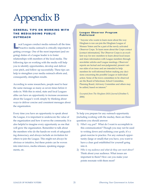# Appendix B

#### GENERAL TIPS ON WORKING WITH THE MEDIA/DOING PUBLIC **OUTREACH**

Local Leagues conduct media outreach all the time. Proactive media outreach is critically important to getting coverage. One of the most important (and ongoing) duties of a League leader is to foster relationships with members of the local media. The following tips on working with the media will help you to identify opportunities, develop and deliver your pitch, and follow up successfully. These tips can help to strengthen your media outreach efforts and, consequently, strengthen results.

According to some researchers, people need to hear the same message as many as seven times before it sinks in. With this in mind, state and local Leagues alike can have an opportunity to increase awareness about the League's work simply by thinking about ways to deliver concise and consistent messages about the organization.

Every time you have an opportunity to speak about the League, it is important to underscore the value of the organization and how it serves the community. It is also helpful to imagine every opportunity as one that will grow the organization. Remember to talk about the members who do the hands-on work of safeguarding democracy, and always include an invitation for others to join the League. This might not always be obvious or intuitive, but these points can be woven into interviews, media releases, speaking engagements, etc.

#### League Observer Program Publicized

"Anyone who wants to learn more about the way Hingham is run can join the Hingham League of Women Voters and be a part of the newly activated Observer Corps. To learn more about the Corps contact [contact information]. The Observer Corps is an excellent way for new members to learn about local issues and share information with League members through newsletter articles and League meetings. Observers' reports are factual and non-judgmental, present various sides of an issue and are intended to help members be well-informed before making any decisions concerning the possible League or individual action. Some of the town committees to be observed are the Board of Selectman, School Committee, Planning Board, Advisory Committee and others may be added, based on interest."

*Excerpted from The Hingham (MA) Journal* (October 5, 2006)

To help you prepare for any outreach opportunity (including working with the media), there are three questions you should answer:

- 1) *What's my goal?* What do I want to accomplish in this communication? Though you may not be used to writing down and outlining your goals, it's a great exercise to practice. For any outreach opportunity (large or small) that you have, you want to have a clear goal established for yourself going into it.
- 2) *Who is my audience and what do they care most about?* Think about your audience. What issues are important to them? How can you make your points resonate with them most?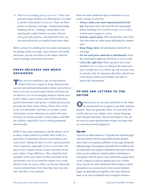3) *What is my messaging going to focus on?* Once your goal and target audience are determined, you need to decide what points to focus on. There are three phases to sharing a message: sharing knowledge; building will (i.e., making a connection); and spurring the reader/listener to action. Review your goal and audience, and determine how you can most effectively accomplish these three steps.

Below are tips for utilizing the four main mechanisms for getting media coverage: press releases and media advisories, op-eds and letters to the editor, editorial board meetings, and media interviews.

#### PRESS RELEASES AND MEDIA ADVISORIES

**These are two methods to get out information** about what your League is doing. Both provide succinct and pertinent information about your event or issue in an easy-to-read format. Media advisories are an effective way of encouraging media to attend your event. Unlike a press release, that will include background information and quotes, a media advisory just provides the Who, What, Where, When, Why of the event. It is absolutely vital that you include contact information on any materials you send to the press. Include your phone number, e-mail address and Web site address, especially if you're sending materials electronically.

While it may seem important to get the release out to as many media outlets as possible, there really is a great deal of importance placed on providing a personal touch. Taking the time to write a quick personal note to reporters, especially if you've seen their writing on your League's issues or have met them in the past, makes a huge difference. Also, remember that members of the press often set their calendars at the last minute; even if you send the release out a week ahead of time, be sure to follow up the day before the event to remind them. Even then they may not commit—but this is very normal!

Here are some additional tips to remember as you draft a release or advisory:

- **Always make your most important point at the top.** Reporters may only read the first paragraph before deciding if it's worth it to give you a call or include your League in a story.
- **Include a good quote.** Why should they care? How does this relate to other issues affecting the community?
- **Keep things short.** All information should fit on one page.
- **Do not send press materials as attachments.** Paste the information right into the body of your e-mail.
- **Call at the right time.** Most reporters have story deadlines of 3 or 4 pm, so calling in the mid-morning is usually best. In a follow-up call you just want to reiterate why it's important that they attend your event. Keep it short and friendly, and offer to resend the information!

#### OP-EDS AND LETTERS TO THE EDITOR

pinion pieces (or op-eds) and letters to the editor are mechanisms for Leagues to get their opinions printed. These are generally short, no more than 250 words, and use very simple, clear, concise language that will grab attention. Op-eds and letters to the editor serve as great opportunities to gain coverage after an event has already happened.

#### Op-eds

Op-ed is an abbreviation for "opposite the editorial page" and can denote both the page itself and the opinion pieces that a newspaper publishes on the page facing the editorial page. Newspapers generally have a stable of oped columnists and regular contributors but most will also print op-eds written by outside authors. Sometimes a newspaper will call upon a local community group (such as the League) to write an opinion piece on a certain issue. Op-eds are often selected for their unique or fresh perspective on a recent event or news story. Opinion pages are generally put together a few days ahead of time, so be sure to submit it early enough in advance.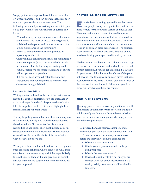Simply put, op-eds express the opinion of the author on a particular issue, and can offer an excellent opportunity for you to advance your messages. The following are some tips for writing and submitting an op-ed that will increase your chances of getting published.

- When drafting your op-ed, make sure that you are familiar with the types of pieces that are generally published in the paper and be sure to focus on the topic's significance to the community.
- An op-ed is not the best forum to promote an upcoming local event.
- Once you have confirmed the rules for submitting a piece to the paper (word counts, methods of submission and other factors vary depending on the outlet), submit one for consideration and be sure to follow up after a couple days.
- If it has not been accepted, ask if there are any adjustments that you might make to increase its chances of being published.

#### Letters to the Editor

Writing a letter to the editor is one of the best ways to respond to articles, editorials or op-eds published in your local paper. You should be prepared to submit a letter to amplify a positive editorial or highlight key information left out of an article.

The key to getting your letter published is making sure that it is timely. Ideally, you would submit a letter to the editor within 24 hours after the piece you're responding to appeared. They must include your full contact information and League title. The newspaper often will verify the authenticity of the submission with a follow-up phone call.

When you submit a letter to the editor, call the opinion page office and ask them who to send it to, what their submission requirements are, and if the paper is likely to run the piece. They will likely give you an honest answer. If they make edits to your letter, they may ask for your approval.

#### EDITORIAL BOARD MEETINGS

Editorial board meetings generally involve one or more people from your organization and three or more writers for the opinions section of a newspaper. They're usually not on issues of immediate news importance, but ongoing issues that are of interest to the community or the editorial board itself. They are conversations, usually about an hour, and sometimes result in an opinion piece being written. The editorial board members will have questions, but you should also have talking points prepared to make your case.

The best way to set these up is to call the opinion page office, feel out their interest and find out who the best contact person is. If you do get a meeting, BE SURE to do your research! Look through archives of the paper online, and read through any opinion pieces that have been written on the issue. This will give you a sense of the views of the board ahead of time, and you'll be prepared for what questions are coming.

#### MEDIA INTERVIEWS

I ssuing press releases or fostering relationships with members of the media (print, television and radio) will hopefully result in your League being called for interviews. Below are some pointers to help you maximize these opportunities.

- **Be prepared and do your research:** The more knowledge you have, the more prepared you will be. There are several questions you want answered before the interview—some to consider are:
	- What's the interview about?
	- What's your organization's role in the piece being proposed?
	- What is the interview format?
	- What outlet is it for? If it is not one you are familiar with, ask about their format: Is it a weekly, a daily, a conservative/liberal radio talk show?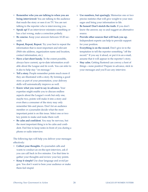- **Remember who you are talking to when you are being interviewed:** You are talking to the audience that reads the story or sees it on TV. You are not talking to the reporter who is interviewing you.
- **Speak up!** If an interviewer misstates something or has a fact wrong, make a correction politely.
- **Be concise.** Keep your answers between 10-20 seconds.
- **Repeat, Repeat, Repeat.** Try your best to repeat the information that is most important and relevant (Web site address, organization name and location, contact information, etc.).
- **Have a fact sheet handy.** To the extent possible, always have current, up-to-date information available about the League and its work. You can refer to it also to help stay "on message."
- **Tell a story.** People remember points much more if they are illustrated with a story. By forming a good story as part of your presentation, your delivery skills will automatically improve as well.
- **Know what you want to say in advance.** Your expertise might enable you to discuss endless aspects about the League's work but only one, maybe two, points will make it into a story and even then a consumer of the story may only remember bits and pieces. Don't let an audience member or a journalist decide what the most important point is on this issue. Select one or two key points to make and make them well.
- **Be calm and confident.** You may be nervous, but the most important thing is to be calm and confident. Feel free to keep notes in front of you during a phone or radio interview.

The following tips will help you deliver your messages effectively:

- **Collect your thoughts.** If a journalist calls and wants to conduct an on-the-spot interview, ask if you can call back in five minutes. Use that time to gather your thoughts and review your key points.
- **Keep it simple!** Use clear language and avoid jargon. You don't want to bore your audience or make them feel stupid.
- **Use numbers, but sparingly.** Memorize one or two precise statistics that will give weight to your messages and bring your information to life.
- **Be honest! Don't stretch the truth.** If you don't know the answer, say so and suggest an alternative source.
- **Provide other sources that will back you up.** Independent experts can help to provide support for your position.
- **Everything is on the record.** Don't give in to the temptation to tell the reporter something "off the record." If you say it aloud, or put it in an e-mail, assume that it will appear in the reporter's story.
- **Stay calm.** Getting flustered can convey a host of things—none positive! Prepare in advance, stick to your messages and you'll ace any interview.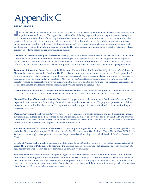### RESOURCES Appendix C

ust as the League of Women Voters has worked for years to promote open government at all levels, there are many other organizations that do so, too. This appendix provides a list of the key organizations working in this ar their contact information. Most of these organizations have a national scope and monitor federal laws and administrative practices. Some are active in advocacy to address changes in federal law and practice. In addition, most states now have open government coalitions or freedom of information centers. These groups monitor changes in sunshine policies—both good and bad—within their state and local governments. They also provide information on how to follow state procedures correctly in order to access desired information or meetings.

**Coalition of Journalists for Open Government** (*www.cjog.net*) is an alliance of more than 30 journalism-related organizations concerned about secrecy in government and the increasing closure of public records and meetings at all levels of government. Most of the coalition partners have individual freedom of information programs. As coalition members, they share information, coordinate activities and, when appropriate, combine efforts and resources in the fight for open government.

**Freedom of Information Center**, housed at the University of Missouri School of Journalism (*http://foi.missouri.edu*), hosts the National Freedom of Information Coalition. The Center is the research portion of the organization. Its Web site provides: (1) information on every state's open government laws and practices; (2) comprehensive analytical information on practices of local county open government law in the state of Missouri; (3) the Open Records Survey, which is a state-by-state list of reports prepared by organizations involved in analyzing the state laws and the effective use of open records processes. The Center also has staff available to answer questions and provide training on various topics.

**Marion Brechner Citizen Access Project at the University of Florida** (*www.citizenaccess.org*) provides an online guide to state access laws and a database that allows researchers to compare and contrast the provisions of all 50 state laws.

**National Freedom of Information Coalition's** (*www.nfoic.org*) goals are to help start up state freedom of information (FOI) organizations, to initiate joint fundraising efforts with state organizations, to develop FOI programs, projects and publications that can be utilized by the member FOI organizations, and to support the states in their efforts to obtain funding for individual projects.

**OpenTheGovernment.org** (*www.openthegovernment.org*) is a coalition of journalists, consumer and good government groups, environmentalists, labor, and others focused on making government a more open process for the overall health and safety of communities across the country. Its Web site provides information on the coalition's activities and links to each of its members' information-filled Web sites. The League is a member of this coalition.

**Reporters Committee for Freedom of the Press** is focused on providing publications on and information about public access and other First Amendment topics. Publications include the *First Amendment Handbook* and *How to Use the Federal FOI Act*. Its Web site (*www.rcfp.org*) posts a guide to every state's open records and meetings laws, which is called *The Open Government Guide.*

**Society of Professional Journalists** provides a toolkit on how to do FOI audits (*www.spj.org*) as well as media alerts on FOI topics. The purpose of FOI audits is to determine the extent of the gap between what public records laws say and what citizens actually experience. They are most commonly undertaken by journalists.

**Sunshine Week** is a national initiative to open dialogue about the importance of open government and freedom of information. Journalists, civic groups, libraries, schools and others interested in the public's right to know have banded together to help promote this nonpartisan effort to enlighten and empower individuals to play an active role in their government at all levels, and to give them access to information that makes their lives better and their communities stronger. More information about Sunshine Week is available at *www.sunshineweek.org*.